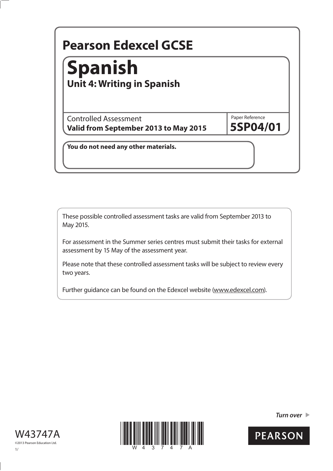# Paper Reference **Pearson Edexcel GCSE You do not need any other materials. 5SP04/01** Controlled Assessment **Valid from September 2013 to May 2015 Spanish Unit 4: Writing in Spanish**

These possible controlled assessment tasks are valid from September 2013 to May 2015.

For assessment in the Summer series centres must submit their tasks for external assessment by 15 May of the assessment year.

Please note that these controlled assessment tasks will be subject to review every two years.

Further guidance can be found on the Edexcel website (www.edexcel.com).





*Turn over* 

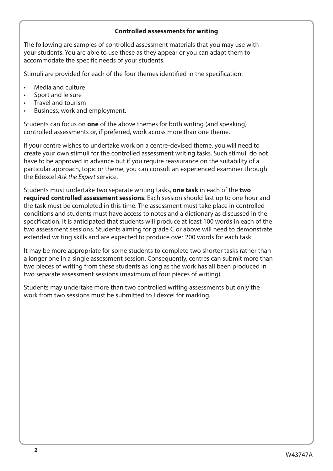## **Controlled assessments for writing**

The following are samples of controlled assessment materials that you may use with your students. You are able to use these as they appear or you can adapt them to accommodate the specific needs of your students.

Stimuli are provided for each of the four themes identified in the specification:

- Media and culture
- Sport and leisure
- Travel and tourism
- Business, work and employment.

Students can focus on **one** of the above themes for both writing (and speaking) controlled assessments or, if preferred, work across more than one theme.

If your centre wishes to undertake work on a centre-devised theme, you will need to create your own stimuli for the controlled assessment writing tasks. Such stimuli do not have to be approved in advance but if you require reassurance on the suitability of a particular approach, topic or theme, you can consult an experienced examiner through the Edexcel *Ask the Expert* service.

Students must undertake two separate writing tasks, **one task** in each of the **two required controlled assessment sessions**. Each session should last up to one hour and the task must be completed in this time. The assessment must take place in controlled conditions and students must have access to notes and a dictionary as discussed in the specification. It is anticipated that students will produce at least 100 words in each of the two assessment sessions. Students aiming for grade C or above will need to demonstrate extended writing skills and are expected to produce over 200 words for each task.

It may be more appropriate for some students to complete two shorter tasks rather than a longer one in a single assessment session. Consequently, centres can submit more than two pieces of writing from these students as long as the work has all been produced in two separate assessment sessions (maximum of four pieces of writing).

Students may undertake more than two controlled writing assessments but only the work from two sessions must be submitted to Edexcel for marking.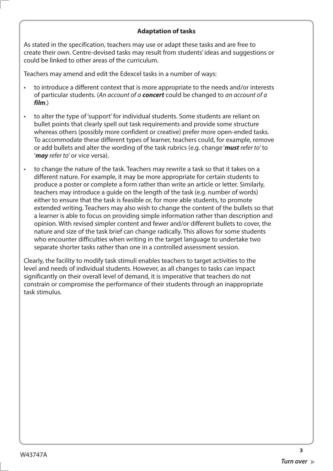## **Adaptation of tasks**

As stated in the specification, teachers may use or adapt these tasks and are free to create their own. Centre-devised tasks may result from students' ideas and suggestions or could be linked to other areas of the curriculum.

Teachers may amend and edit the Edexcel tasks in a number of ways:

- to introduce a different context that is more appropriate to the needs and/or interests of particular students. (*An account of a concert* could be changed to *an account of a film*.)
- to alter the type of 'support' for individual students. Some students are reliant on bullet points that clearly spell out task requirements and provide some structure whereas others (possibly more confident or creative) prefer more open-ended tasks. To accommodate these different types of learner, teachers could, for example, remove or add bullets and alter the wording of the task rubrics (e.g. change '*must refer to*' to '*may refer to*' or vice versa).
- to change the nature of the task. Teachers may rewrite a task so that it takes on a different nature. For example, it may be more appropriate for certain students to produce a poster or complete a form rather than write an article or letter. Similarly, teachers may introduce a guide on the length of the task (e.g. number of words) either to ensure that the task is feasible or, for more able students, to promote extended writing. Teachers may also wish to change the content of the bullets so that a learner is able to focus on providing simple information rather than description and opinion. With revised simpler content and fewer and/or different bullets to cover, the nature and size of the task brief can change radically. This allows for some students who encounter difficulties when writing in the target language to undertake two separate shorter tasks rather than one in a controlled assessment session.

Clearly, the facility to modify task stimuli enables teachers to target activities to the level and needs of individual students. However, as all changes to tasks can impact significantly on their overall level of demand, it is imperative that teachers do not constrain or compromise the performance of their students through an inappropriate task stimulus.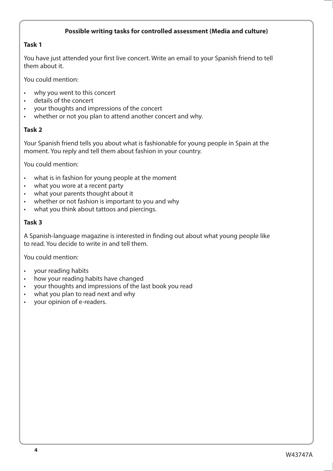## **Possible writing tasks for controlled assessment (Media and culture)**

## **Task 1**

You have just attended your first live concert. Write an email to your Spanish friend to tell them about it.

You could mention:

- why you went to this concert
- details of the concert
- your thoughts and impressions of the concert
- whether or not you plan to attend another concert and why.

## **Task 2**

Your Spanish friend tells you about what is fashionable for young people in Spain at the moment. You reply and tell them about fashion in your country.

You could mention:

- what is in fashion for young people at the moment
- what you wore at a recent party
- what your parents thought about it
- whether or not fashion is important to you and why
- what you think about tattoos and piercings.

## **Task 3**

A Spanish-language magazine is interested in finding out about what young people like to read. You decide to write in and tell them.

- your reading habits
- how your reading habits have changed
- your thoughts and impressions of the last book you read
- what you plan to read next and why
- your opinion of e-readers.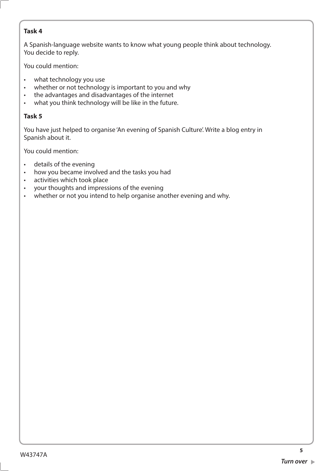A Spanish-language website wants to know what young people think about technology. You decide to reply.

You could mention:

- what technology you use
- whether or not technology is important to you and why
- the advantages and disadvantages of the internet
- what you think technology will be like in the future.

# **Task 5**

You have just helped to organise 'An evening of Spanish Culture'. Write a blog entry in Spanish about it.

You could mention:

- details of the evening
- how you became involved and the tasks you had
- activities which took place
- your thoughts and impressions of the evening
- whether or not you intend to help organise another evening and why.

**5**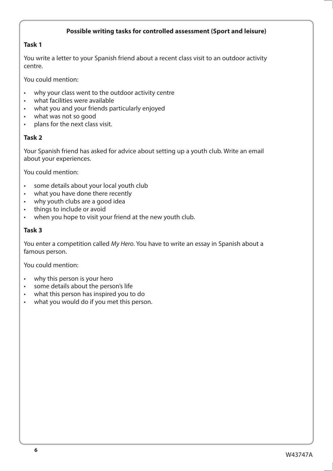## **Possible writing tasks for controlled assessment (Sport and leisure)**

## **Task 1**

You write a letter to your Spanish friend about a recent class visit to an outdoor activity centre.

You could mention:

- why your class went to the outdoor activity centre
- what facilities were available
- what you and your friends particularly enjoyed
- what was not so good
- plans for the next class visit.

## **Task 2**

Your Spanish friend has asked for advice about setting up a youth club. Write an email about your experiences.

You could mention:

- some details about your local youth club
- what you have done there recently
- why youth clubs are a good idea
- things to include or avoid
- when you hope to visit your friend at the new youth club.

## **Task 3**

You enter a competition called *My Hero*. You have to write an essay in Spanish about a famous person.

- why this person is your hero
- some details about the person's life
- what this person has inspired you to do
- what you would do if you met this person.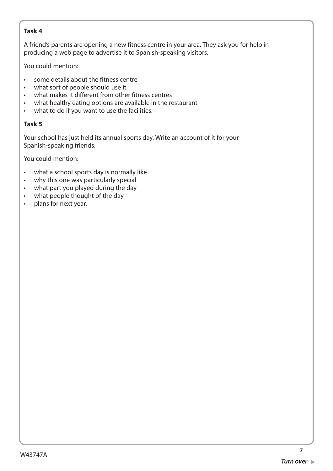A friend's parents are opening a new fitness centre in your area. They ask you for help in producing a web page to advertise it to Spanish-speaking visitors.

You could mention:

- some details about the fitness centre
- what sort of people should use it
- what makes it different from other fitness centres
- what healthy eating options are available in the restaurant
- what to do if you want to use the facilities.

# **Task 5**

Your school has just held its annual sports day. Write an account of it for your Spanish-speaking friends.

- what a school sports day is normally like
- why this one was particularly special
- what part you played during the day
- what people thought of the day
- plans for next year.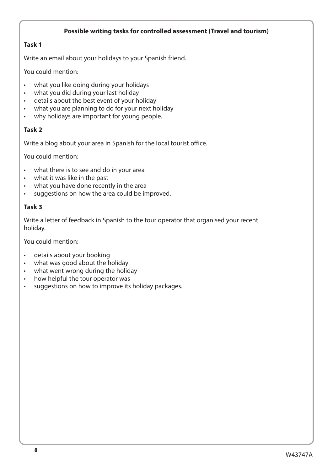## **Possible writing tasks for controlled assessment (Travel and tourism)**

## **Task 1**

Write an email about your holidays to your Spanish friend.

You could mention:

- what you like doing during your holidays
- what you did during your last holiday
- details about the best event of your holiday
- what you are planning to do for your next holiday
- why holidays are important for young people.

## **Task 2**

Write a blog about your area in Spanish for the local tourist office.

You could mention:

- what there is to see and do in your area
- what it was like in the past
- what you have done recently in the area
- suggestions on how the area could be improved.

## **Task 3**

Write a letter of feedback in Spanish to the tour operator that organised your recent holiday.

- details about your booking
- what was good about the holiday
- what went wrong during the holiday
- how helpful the tour operator was
- suggestions on how to improve its holiday packages.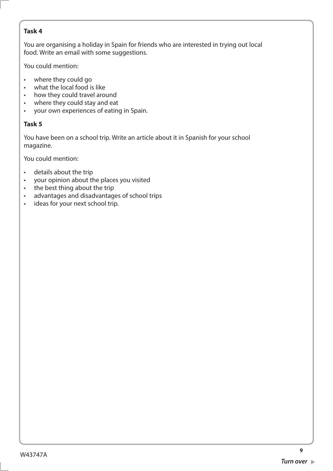You are organising a holiday in Spain for friends who are interested in trying out local food. Write an email with some suggestions.

You could mention:

- where they could go
- what the local food is like
- how they could travel around
- where they could stay and eat
- your own experiences of eating in Spain.

# **Task 5**

You have been on a school trip. Write an article about it in Spanish for your school magazine.

- details about the trip
- your opinion about the places you visited
- the best thing about the trip
- advantages and disadvantages of school trips
- ideas for your next school trip.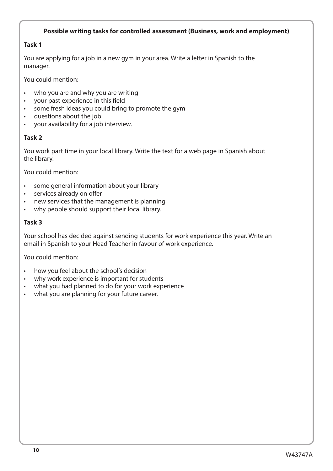## **Possible writing tasks for controlled assessment (Business, work and employment)**

## **Task 1**

You are applying for a job in a new gym in your area. Write a letter in Spanish to the manager.

You could mention:

- who you are and why you are writing
- your past experience in this field
- some fresh ideas you could bring to promote the gym
- questions about the job
- your availability for a job interview.

## **Task 2**

You work part time in your local library. Write the text for a web page in Spanish about the library.

You could mention:

- some general information about your library
- services already on offer
- new services that the management is planning
- why people should support their local library.

#### **Task 3**

Your school has decided against sending students for work experience this year. Write an email in Spanish to your Head Teacher in favour of work experience.

- how you feel about the school's decision
- why work experience is important for students
- what you had planned to do for your work experience
- what you are planning for your future career.